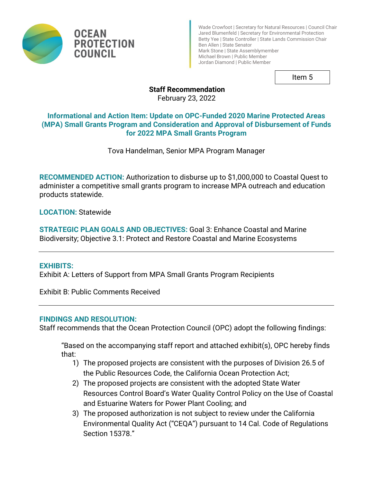

Wade Crowfoot | Secretary for Natural Resources | Council Chair Jared Blumenfeld | Secretary for Environmental Protection Betty Yee | State Controller | State Lands Commission Chair Ben Allen | State Senator Mark Stone | State Assemblymember Michael Brown | Public Member Jordan Diamond | Public Member

Item 5

# **Staff Recommendation**

February 23, 2022

## **Informational and Action Item: Update on OPC-Funded 2020 Marine Protected Areas (MPA) Small Grants Program and Consideration and Approval of Disbursement of Funds for 2022 MPA Small Grants Program**

Tova Handelman, Senior MPA Program Manager

**RECOMMENDED ACTION:** Authorization to disburse up to \$1,000,000 to Coastal Quest to administer a competitive small grants program to increase MPA outreach and education products statewide.

**LOCATION:** Statewide

**STRATEGIC PLAN GOALS AND OBJECTIVES:** Goal 3: Enhance Coastal and Marine Biodiversity; Objective 3.1: Protect and Restore Coastal and Marine Ecosystems

#### **EXHIBITS:**

Exhibit A: Letters of Support from MPA Small Grants Program Recipients

Exhibit B: Public Comments Received

### **FINDINGS AND RESOLUTION:**

Staff recommends that the Ocean Protection Council (OPC) adopt the following findings:

"Based on the accompanying staff report and attached exhibit(s), OPC hereby finds that:

- 1) The proposed projects are consistent with the purposes of Division 26.5 of the Public Resources Code, the California Ocean Protection Act;
- 2) The proposed projects are consistent with the adopted State Water Resources Control Board's Water Quality Control Policy on the Use of Coastal and Estuarine Waters for Power Plant Cooling; and
- 3) The proposed authorization is not subject to review under the California Environmental Quality Act ("CEQA") pursuant to 14 Cal. Code of Regulations Section 15378."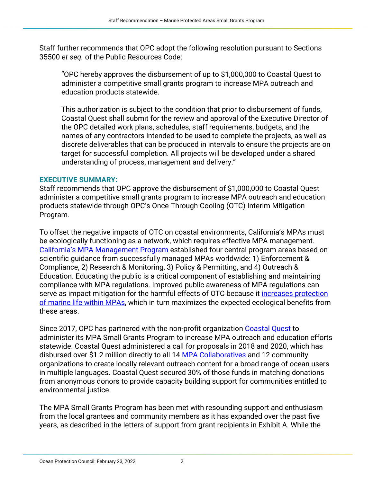Staff further recommends that OPC adopt the following resolution pursuant to Sections 35500 *et seq.* of the Public Resources Code:

"OPC hereby approves the disbursement of up to \$1,000,000 to Coastal Quest to administer a competitive small grants program to increase MPA outreach and education products statewide.

This authorization is subject to the condition that prior to disbursement of funds, Coastal Quest shall submit for the review and approval of the Executive Director of the OPC detailed work plans, schedules, staff requirements, budgets, and the names of any contractors intended to be used to complete the projects, as well as discrete deliverables that can be produced in intervals to ensure the projects are on target for successful completion. All projects will be developed under a shared understanding of process, management and delivery."

#### **EXECUTIVE SUMMARY:**

Staff recommends that OPC approve the disbursement of \$1,000,000 to Coastal Quest administer a competitive small grants program to increase MPA outreach and education products statewide through OPC's Once-Through Cooling (OTC) Interim Mitigation Program.

To offset the negative impacts of OTC on coastal environments, California's MPAs must be ecologically functioning as a network, which requires effective MPA management. [California's MPA Management Program](https://wildlife.ca.gov/Conservation/Marine/MPAs/Management#525041789-outreach--education) established four central program areas based on scientific guidance from successfully managed MPAs worldwide: 1) Enforcement & Compliance, 2) Research & Monitoring, 3) Policy & Permitting, and 4) Outreach & Education. Educating the public is a critical component of establishing and maintaining compliance with MPA regulations. Improved public awareness of MPA regulations can serve as impact mitigation for the harmful effects of OTC because it increases protection [of marine life within MPAs,](https://www.jstor.org/stable/j.ctt1657v5d.27?seq=1#metadata_info_tab_contents) which in turn maximizes the expected ecological benefits from these areas.

Since 2017, OPC has partnered with the non-profit organization [Coastal Quest](https://www.coastal-quest.org/) to administer its MPA Small Grants Program to increase MPA outreach and education efforts statewide. Coastal Quest administered a call for proposals in 2018 and 2020, which has disbursed over \$1.2 million directly to all 14 [MPA Collaboratives](https://www.mpacollaborative.org/) and 12 community organizations to create locally relevant outreach content for a broad range of ocean users in multiple languages. Coastal Quest secured 30% of those funds in matching donations from anonymous donors to provide capacity building support for communities entitled to environmental justice.

The MPA Small Grants Program has been met with resounding support and enthusiasm from the local grantees and community members as it has expanded over the past five years, as described in the letters of support from grant recipients in Exhibit A. While the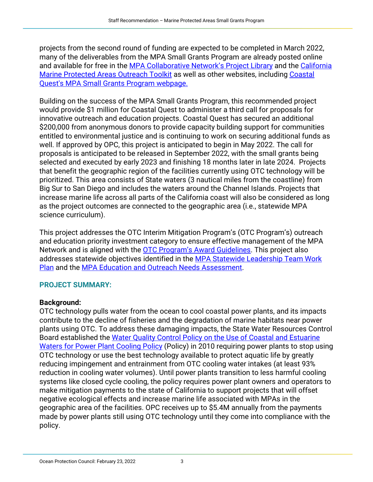projects from the second round of funding are expected to be completed in March 2022, many of the deliverables from the MPA Small Grants Program are already posted online and available for free in the [MPA Collaborative Network's Project Library](https://www.mpacollaborative.org/project-library/) and the California [Marine Protected Areas Outreach Toolkit](https://californiampas.org/outreach-toolkit) as well as other websites, including [Coastal](https://www.coastal-quest.org/mpa-outreach-and-education-small-grants-program/)  [Quest's MPA Small Grants Program webpage](https://www.coastal-quest.org/mpa-outreach-and-education-small-grants-program/).

Building on the success of the MPA Small Grants Program, this recommended project would provide \$1 million for Coastal Quest to administer a third call for proposals for innovative outreach and education projects. Coastal Quest has secured an additional \$200,000 from anonymous donors to provide capacity building support for communities entitled to environmental justice and is continuing to work on securing additional funds as well. If approved by OPC, this project is anticipated to begin in May 2022. The call for proposals is anticipated to be released in September 2022, with the small grants being selected and executed by early 2023 and finishing 18 months later in late 2024. Projects that benefit the geographic region of the facilities currently using OTC technology will be prioritized. This area consists of State waters (3 nautical miles from the coastline) from Big Sur to San Diego and includes the waters around the Channel Islands. Projects that increase marine life across all parts of the California coast will also be considered as long as the project outcomes are connected to the geographic area (i.e., statewide MPA science curriculum).

This project addresses the OTC Interim Mitigation Program's (OTC Program's) outreach and education priority investment category to ensure effective management of the MPA Network and is aligned with the [OTC Program's Award](https://opc.ca.gov/webmaster/_media_library/2018/10/OTCAwardGuidelines_OceanProtectionCouncil_FINAL.pdf) Guidelines. This project also addresses statewide objectives identified in the [MPA Statewide Leadership Team Work](https://www.opc.ca.gov/webmaster/_media_library/2022/02/MSLT_WorkPlan_FINAL_02.04.22-1.pdf)  [Plan](https://www.opc.ca.gov/webmaster/_media_library/2022/02/MSLT_WorkPlan_FINAL_02.04.22-1.pdf) and the [MPA Education and Outreach Needs Assessment.](https://data.cnra.ca.gov/dataset/california-mpa-education-and-outreach-needs-assessment)

# **PROJECT SUMMARY:**

# **Background:**

OTC technology pulls water from the ocean to cool coastal power plants, and its impacts contribute to the decline of fisheries and the degradation of marine habitats near power plants using OTC. To address these damaging impacts, the State Water Resources Control Board established the [Water Quality Control Policy on the Use of Coastal and Estuarine](https://www.waterboards.ca.gov/water_issues/programs/ocean/cwa316/docs/otcpolicy_2017.pdf)  Waters for [Power Plant Cooling Policy](https://www.waterboards.ca.gov/water_issues/programs/ocean/cwa316/docs/otcpolicy_2017.pdf) (Policy) in 2010 requiring power plants to stop using OTC technology or use the best technology available to protect aquatic life by greatly reducing impingement and entrainment from OTC cooling water intakes (at least 93% reduction in cooling water volumes). Until power plants transition to less harmful cooling systems like closed cycle cooling, the policy requires power plant owners and operators to make mitigation payments to the state of California to support projects that will offset negative ecological effects and increase marine life associated with MPAs in the geographic area of the facilities. OPC receives up to \$5.4M annually from the payments made by power plants still using OTC technology until they come into compliance with the policy.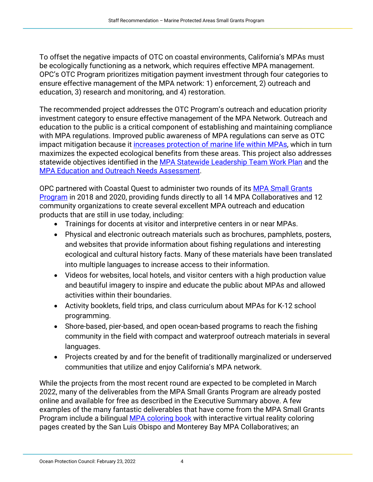To offset the negative impacts of OTC on coastal environments, California's MPAs must be ecologically functioning as a network, which requires effective MPA management. OPC's OTC Program prioritizes mitigation payment investment through four categories to ensure effective management of the MPA network: 1) enforcement, 2) outreach and education, 3) research and monitoring, and 4) restoration.

The recommended project addresses the OTC Program's outreach and education priority investment category to ensure effective management of the MPA Network. Outreach and education to the public is a critical component of establishing and maintaining compliance with MPA regulations. Improved public awareness of MPA regulations can serve as OTC impact mitigation because it [increases protection of marine life within MPAs,](https://www.jstor.org/stable/j.ctt1657v5d.27?seq=1#metadata_info_tab_contents) which in turn maximizes the expected ecological benefits from these areas. This project also addresses statewide objectives identified in the [MPA Statewide Leadership Team Work Plan](https://www.opc.ca.gov/webmaster/_media_library/2022/02/MSLT_WorkPlan_FINAL_02.04.22-1.pdf) and the [MPA Education and Outreach Needs Assessment.](https://data.cnra.ca.gov/dataset/california-mpa-education-and-outreach-needs-assessment)

OPC partnered with Coastal Quest to administer two rounds of its [MPA Small Grants](https://www.coastal-quest.org/marine-protected-area-outreach-and-education-small-grants-program/)  [Program](https://www.coastal-quest.org/marine-protected-area-outreach-and-education-small-grants-program/) in 2018 and 2020, providing funds directly to all 14 MPA Collaboratives and 12 community organizations to create several excellent MPA outreach and education products that are still in use today, including:

- Trainings for docents at visitor and interpretive centers in or near MPAs.
- Physical and electronic outreach materials such as brochures, pamphlets, posters, and websites that provide information about fishing regulations and interesting ecological and cultural history facts. Many of these materials have been translated into multiple languages to increase access to their information.
- Videos for websites, local hotels, and visitor centers with a high production value and beautiful imagery to inspire and educate the public about MPAs and allowed activities within their boundaries.
- Activity booklets, field trips, and class curriculum about MPAs for K-12 school programming.
- Shore-based, pier-based, and open ocean-based programs to reach the fishing community in the field with compact and waterproof outreach materials in several languages.
- Projects created by and for the benefit of traditionally marginalized or underserved communities that utilize and enjoy California's MPA network.

While the projects from the most recent round are expected to be completed in March 2022, many of the deliverables from the MPA Small Grants Program are already posted online and available for free as described in the Executive Summary above. A few examples of the many fantastic deliverables that have come from the MPA Small Grants Program include a bilingual [MPA coloring book](https://www.mpacollaborative.org/wp-content/uploads/2021/07/MPA_colorbook_final_digital.pdf) with interactive virtual reality coloring pages created by the San Luis Obispo and Monterey Bay MPA Collaboratives; an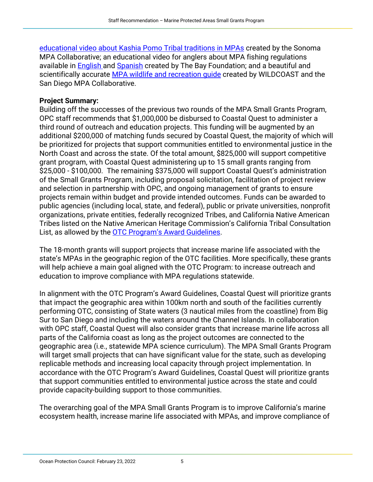[educational video about Kashia Pomo Tribal traditions in MPAs](https://www.mpacollaborative.org/project/kashia-pomo-tribal-traditions-in-the-mpa/) created by the Sonoma MPA Collaborative; an educational video for anglers about MPA fishing regulations available in **English and [Spanish](https://www.youtube.com/watch?v=Lk-MQ5lQ68E&t=16s)** created by The Bay Foundation; and a beautiful and scientifically accurate [MPA wildlife and recreation guide](https://www.mpacollaborative.org/project/san-diego-mpas-wildlife-and-recreation-brochure/) created by WILDCOAST and the San Diego MPA Collaborative.

## **Project Summary:**

Building off the successes of the previous two rounds of the MPA Small Grants Program, OPC staff recommends that \$1,000,000 be disbursed to Coastal Quest to administer a third round of outreach and education projects. This funding will be augmented by an additional \$200,000 of matching funds secured by Coastal Quest, the majority of which will be prioritized for projects that support communities entitled to environmental justice in the North Coast and across the state. Of the total amount, \$825,000 will support competitive grant program, with Coastal Quest administering up to 15 small grants ranging from \$25,000 - \$100,000. The remaining \$375,000 will support Coastal Quest's administration of the Small Grants Program, including proposal solicitation, facilitation of project review and selection in partnership with OPC, and ongoing management of grants to ensure projects remain within budget and provide intended outcomes. Funds can be awarded to public agencies (including local, state, and federal), public or private universities, nonprofit organizations, private entities, federally recognized Tribes, and California Native American Tribes listed on the Native American Heritage Commission's California Tribal Consultation List, as allowed by the [OTC Program's Award Guidelines.](https://opc.ca.gov/webmaster/_media_library/2018/10/OTCAwardGuidelines_OceanProtectionCouncil_FINAL.pdf)

The 18-month grants will support projects that increase marine life associated with the state's MPAs in the geographic region of the OTC facilities. More specifically, these grants will help achieve a main goal aligned with the OTC Program: to increase outreach and education to improve compliance with MPA regulations statewide.

In alignment with the OTC Program's Award Guidelines, Coastal Quest will prioritize grants that impact the geographic area within 100km north and south of the facilities currently performing OTC, consisting of State waters (3 nautical miles from the coastline) from Big Sur to San Diego and including the waters around the Channel Islands. In collaboration with OPC staff, Coastal Quest will also consider grants that increase marine life across all parts of the California coast as long as the project outcomes are connected to the geographic area (i.e., statewide MPA science curriculum). The MPA Small Grants Program will target small projects that can have significant value for the state, such as developing replicable methods and increasing local capacity through project implementation. In accordance with the OTC Program's Award Guidelines, Coastal Quest will prioritize grants that support communities entitled to environmental justice across the state and could provide capacity-building support to those communities.

The overarching goal of the MPA Small Grants Program is to improve California's marine ecosystem health, increase marine life associated with MPAs, and improve compliance of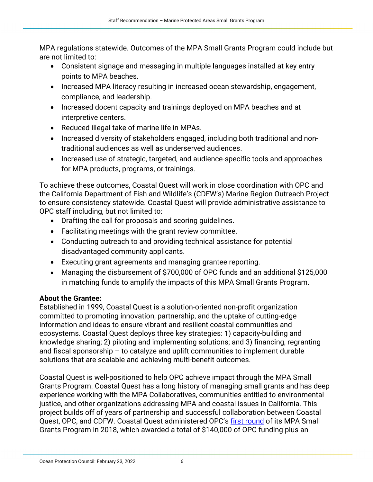MPA regulations statewide. Outcomes of the MPA Small Grants Program could include but are not limited to:

- Consistent signage and messaging in multiple languages installed at key entry points to MPA beaches.
- Increased MPA literacy resulting in increased ocean stewardship, engagement, compliance, and leadership.
- Increased docent capacity and trainings deployed on MPA beaches and at interpretive centers.
- Reduced illegal take of marine life in MPAs.
- Increased diversity of stakeholders engaged, including both traditional and nontraditional audiences as well as underserved audiences.
- Increased use of strategic, targeted, and audience-specific tools and approaches for MPA products, programs, or trainings.

To achieve these outcomes, Coastal Quest will work in close coordination with OPC and the California Department of Fish and Wildlife's (CDFW's) Marine Region Outreach Project to ensure consistency statewide. Coastal Quest will provide administrative assistance to OPC staff including, but not limited to:

- Drafting the call for proposals and scoring guidelines.
- Facilitating meetings with the grant review committee.
- Conducting outreach to and providing technical assistance for potential disadvantaged community applicants.
- Executing grant agreements and managing grantee reporting.
- Managing the disbursement of \$700,000 of OPC funds and an additional \$125,000 in matching funds to amplify the impacts of this MPA Small Grants Program.

# **About the Grantee:**

Established in 1999, Coastal Quest is a solution-oriented non-profit organization committed to promoting innovation, partnership, and the uptake of cutting-edge information and ideas to ensure vibrant and resilient coastal communities and ecosystems. Coastal Quest deploys three key strategies: 1) capacity-building and knowledge sharing; 2) piloting and implementing solutions; and 3) financing, regranting and fiscal sponsorship – to catalyze and uplift communities to implement durable solutions that are scalable and achieving multi-benefit outcomes.

Coastal Quest is well-positioned to help OPC achieve impact through the MPA Small Grants Program. Coastal Quest has a long history of managing small grants and has deep experience working with the MPA Collaboratives, communities entitled to environmental justice, and other organizations addressing MPA and coastal issues in California. This project builds off of years of partnership and successful collaboration between Coastal Quest, OPC, and CDFW. Coastal Quest administered OPC's [first round](https://opc.ca.gov/webmaster/ftp/pdf/agenda_items/20180131/Item8_MPACN_MOUandSmallGrantsProgram_January2018_FINAL.pdf) of its MPA Small Grants Program in 2018, which awarded a total of \$140,000 of OPC funding plus an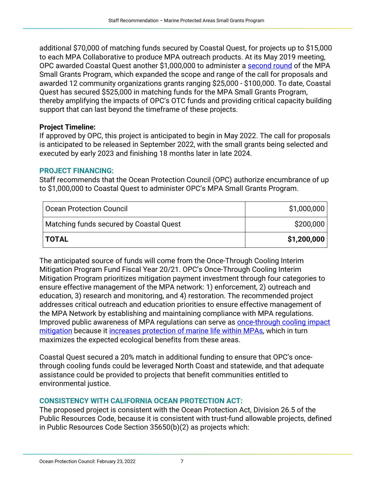additional \$70,000 of matching funds secured by Coastal Quest, for projects up to \$15,000 to each MPA Collaborative to produce MPA outreach products. At its May 2019 meeting, OPC awarded Coastal Quest another \$1,000,000 to administer a [second round](https://opc.ca.gov/webmaster/ftp/pdf/agenda_items/20190523/Item3c_MPAOutreach_Enforcement_FINAL_v1.pdf) of the MPA Small Grants Program, which expanded the scope and range of the call for proposals and awarded 12 community organizations grants ranging \$25,000 - \$100,000. To date, Coastal Quest has secured \$525,000 in matching funds for the MPA Small Grants Program, thereby amplifying the impacts of OPC's OTC funds and providing critical capacity building support that can last beyond the timeframe of these projects.

### **Project Timeline:**

If approved by OPC, this project is anticipated to begin in May 2022. The call for proposals is anticipated to be released in September 2022, with the small grants being selected and executed by early 2023 and finishing 18 months later in late 2024.

### **PROJECT FINANCING:**

Staff recommends that the Ocean Protection Council (OPC) authorize encumbrance of up to \$1,000,000 to Coastal Quest to administer OPC's MPA Small Grants Program.

| Ocean Protection Council                | \$1,000,000 |
|-----------------------------------------|-------------|
| Matching funds secured by Coastal Quest | \$200,000   |
| <b>ITOTAL</b>                           | \$1,200,000 |

The anticipated source of funds will come from the Once-Through Cooling Interim Mitigation Program Fund Fiscal Year 20/21. OPC's Once-Through Cooling Interim Mitigation Program prioritizes mitigation payment investment through four categories to ensure effective management of the MPA network: 1) enforcement, 2) outreach and education, 3) research and monitoring, and 4) restoration. The recommended project addresses critical outreach and education priorities to ensure effective management of the MPA Network by establishing and maintaining compliance with MPA regulations. Improved public awareness of MPA regulations can serve as [once-through cooling impact](https://opc.ca.gov/webmaster/_media_library/2018/10/OTCAwardGuidelines_OceanProtectionCouncil_FINAL.pdf)  [mitigation](https://opc.ca.gov/webmaster/_media_library/2018/10/OTCAwardGuidelines_OceanProtectionCouncil_FINAL.pdf) because it [increases protection of marine life within MPAs,](https://www.jstor.org/stable/j.ctt1657v5d.27) which in turn maximizes the expected ecological benefits from these areas.

Coastal Quest secured a 20% match in additional funding to ensure that OPC's oncethrough cooling funds could be leveraged North Coast and statewide, and that adequate assistance could be provided to projects that benefit communities entitled to environmental justice.

# **CONSISTENCY WITH CALIFORNIA OCEAN PROTECTION ACT:**

The proposed project is consistent with the Ocean Protection Act, Division 26.5 of the Public Resources Code, because it is consistent with trust-fund allowable projects, defined in Public Resources Code Section 35650(b)(2) as projects which: